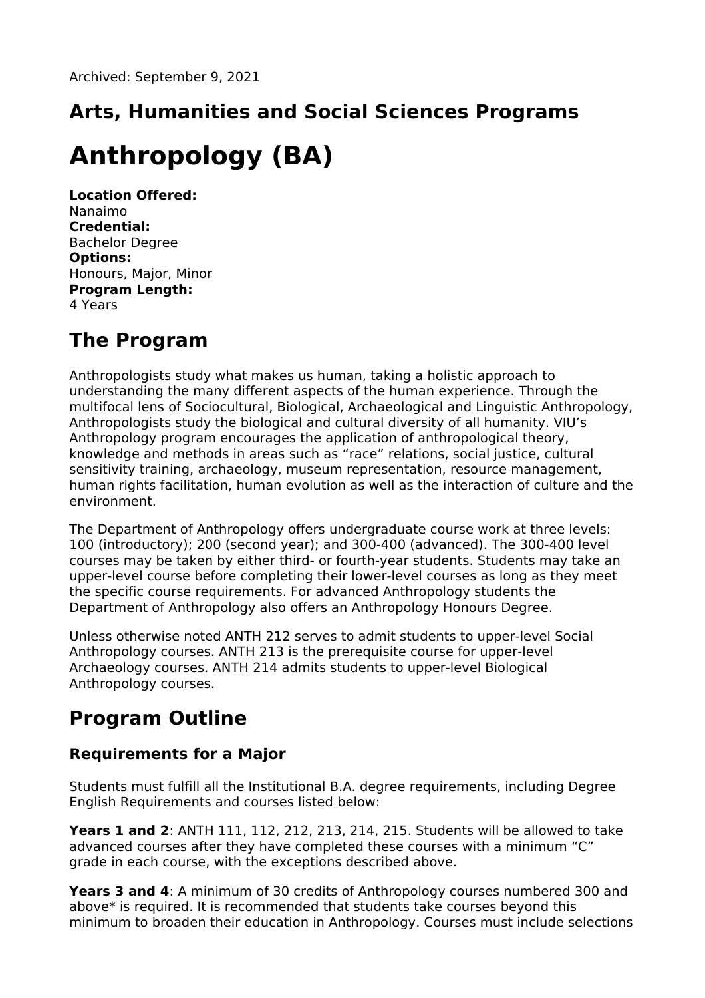# **Arts, Humanities and Social Sciences Programs**

## **Anthropology (BA)**

**Location Offered:** Nanaimo **Credential:** Bachelor Degree **Options:** Honours, Major, Minor **Program Length:** 4 Years

## **The Program**

Anthropologists study what makes us human, taking a holistic approach to understanding the many different aspects of the human experience. Through the multifocal lens of Sociocultural, Biological, Archaeological and Linguistic Anthropology, Anthropologists study the biological and cultural diversity of all humanity. VIU's Anthropology program encourages the application of anthropological theory, knowledge and methods in areas such as "race" relations, social justice, cultural sensitivity training, archaeology, museum representation, resource management, human rights facilitation, human evolution as well as the interaction of culture and the environment.

The Department of Anthropology offers undergraduate course work at three levels: 100 (introductory); 200 (second year); and 300-400 (advanced). The 300-400 level courses may be taken by either third- or fourth-year students. Students may take an upper-level course before completing their lower-level courses as long as they meet the specific course requirements. For advanced Anthropology students the Department of Anthropology also offers an Anthropology Honours Degree.

Unless otherwise noted ANTH 212 serves to admit students to upper-level Social Anthropology courses. ANTH 213 is the prerequisite course for upper-level Archaeology courses. ANTH 214 admits students to upper-level Biological Anthropology courses.

## **Program Outline**

### **Requirements for a Major**

Students must fulfill all the Institutional B.A. degree requirements, including Degree English Requirements and courses listed below:

**Years 1 and 2**: ANTH 111, 112, 212, 213, 214, 215. Students will be allowed to take advanced courses after they have completed these courses with a minimum "C" grade in each course, with the exceptions described above.

**Years 3 and 4**: A minimum of 30 credits of Anthropology courses numbered 300 and above\* is required. It is recommended that students take courses beyond this minimum to broaden their education in Anthropology. Courses must include selections